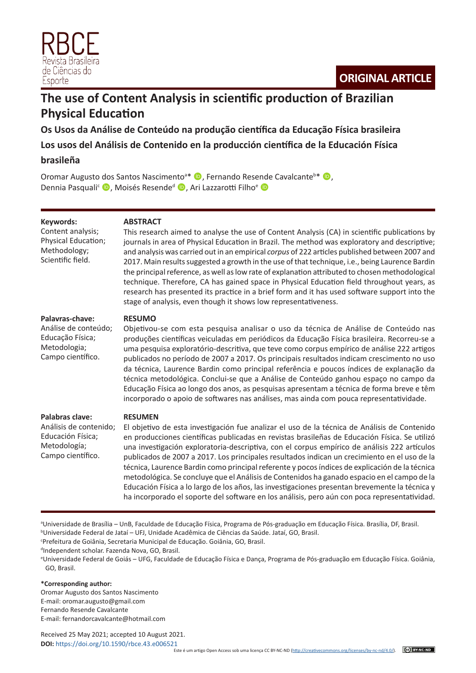

# **The use of Content Analysis in scientific production of Brazilian Physical Education**

**Os Usos da Análise de Conteúdo na produção científica da Educação Física brasileira**

**Los usos del Análisis de Contenido en la producción científica de la Educación Física** 

# **brasileña**

Oromar Augusto dos Santos Nascimento<sup>a\*</sup> (D, Fernando Resende Cavalcante<sup>b\*</sup> (D, Dennia Pasquali<sup>c</sup> D, Moisés Resende<sup>d</sup> D, Ari Lazzarotti Filho<sup>e</sup> D

## **Keywords:**

Content analysis; Physical Education; Methodology; Scientific field.

## **ABSTRACT**

This research aimed to analyse the use of Content Analysis (CA) in scientific publications by journals in area of Physical Education in Brazil. The method was exploratory and descriptive; and analysis was carried out in an empirical *corpus* of 222 articles published between 2007 and 2017. Main results suggested a growth in the use of that technique, i.e., being Laurence Bardin the principal reference, as well as low rate of explanation attributed to chosen methodological technique. Therefore, CA has gained space in Physical Education field throughout years, as research has presented its practice in a brief form and it has used software support into the stage of analysis, even though it shows low representativeness.

#### **Palavras-chave:**

Análise de conteúdo; Educação Física; Metodologia; Campo científico.

## **RESUMO**

Objetivou-se com esta pesquisa analisar o uso da técnica de Análise de Conteúdo nas produções científicas veiculadas em periódicos da Educação Física brasileira. Recorreu-se a uma pesquisa exploratório-descritiva, que teve como corpus empírico de análise 222 artigos publicados no período de 2007 a 2017. Os principais resultados indicam crescimento no uso da técnica, Laurence Bardin como principal referência e poucos índices de explanação da técnica metodológica. Conclui-se que a Análise de Conteúdo ganhou espaço no campo da Educação Física ao longo dos anos, as pesquisas apresentam a técnica de forma breve e têm incorporado o apoio de softwares nas análises, mas ainda com pouca representatividade.

| , alawias clave.       |
|------------------------|
| Análisis de contenido; |
| Educación Física:      |
| Metodología;           |

Campo científico.

**Palabras clave:**

#### **RESUMEN**

El objetivo de esta investigación fue analizar el uso de la técnica de Análisis de Contenido en producciones científicas publicadas en revistas brasileñas de Educación Física. Se utilizó una investigación exploratoria-descriptiva, con el corpus empírico de análisis 222 artículos publicados de 2007 a 2017. Los principales resultados indican un crecimiento en el uso de la técnica, Laurence Bardin como principal referente y pocos índices de explicación de la técnica metodológica. Se concluye que el Análisis de Contenidos ha ganado espacio en el campo de la Educación Física a lo largo de los años, las investigaciones presentan brevemente la técnica y ha incorporado el soporte del software en los análisis, pero aún con poca representatividad.

a Universidade de Brasília – UnB, Faculdade de Educação Física, Programa de Pós-graduação em Educação Física. Brasília, DF, Brasil. b Universidade Federal de Jataí – UFJ, Unidade Acadêmica de Ciências da Saúde. Jataí, GO, Brasil.

c Prefeitura de Goiânia, Secretaria Municipal de Educação. Goiânia, GO, Brasil.

d Independent scholar. Fazenda Nova, GO, Brasil.

#### **\*Corresponding author:**

Oromar Augusto dos Santos Nascimento E-mail: oromar.augusto@gmail.com Fernando Resende Cavalcante E-mail: fernandorcavalcante@hotmail.com

Received 25 May 2021; accepted 10 August 2021.

e Universidade Federal de Goiás – UFG, Faculdade de Educação Física e Dança, Programa de Pós-graduação em Educação Física. Goiânia, GO, Brasil.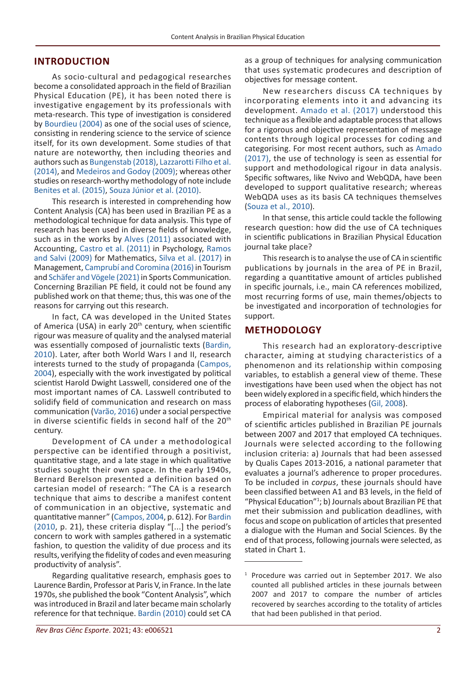# **INTRODUCTION**

As socio-cultural and pedagogical researches become a consolidated approach in the field of Brazilian Physical Education (PE), it has been noted there is investigative engagement by its professionals with meta-research. This type of investigation is considered by Bourdieu (2004) as one of the social uses of science, consisting in rendering science to the service of science itself, for its own development. Some studies of that nature are noteworthy, then including theories and authors such as Bungenstab (2018), Lazzarotti Filho et al. (2014), and Medeiros and Godoy (2009); whereas other studies on research-worthy methodology of note include Benites et al. (2015), Souza Júnior et al. (2010).

This research is interested in comprehending how Content Analysis (CA) has been used in Brazilian PE as a methodological technique for data analysis. This type of research has been used in diverse fields of knowledge, such as in the works by Alves (2011) associated with Accounting, Castro et al. (2011) in Psychology, Ramos and Salvi (2009) for Mathematics, Silva et al. (2017) in Management, Camprubí and Coromina (2016) in Tourism and Schäfer and Vögele (2021) in Sports Communication. Concerning Brazilian PE field, it could not be found any published work on that theme; thus, this was one of the reasons for carrying out this research.

In fact, CA was developed in the United States of America (USA) in early 20<sup>th</sup> century, when scientific rigour was measure of quality and the analysed material was essentially composed of journalistic texts (Bardin, 2010). Later, after both World Wars I and II, research interests turned to the study of propaganda (Campos, 2004), especially with the work investigated by political scientist Harold Dwight Lasswell, considered one of the most important names of CA. Lasswell contributed to solidify field of communication and research on mass communication (Varão, 2016) under a social perspective in diverse scientific fields in second half of the 20<sup>th</sup> century.

Development of CA under a methodological perspective can be identified through a positivist, quantitative stage, and a late stage in which qualitative studies sought their own space. In the early 1940s, Bernard Berelson presented a definition based on cartesian model of research: "The CA is a research technique that aims to describe a manifest content of communication in an objective, systematic and quantitative manner" (Campos, 2004, p. 612). For Bardin (2010, p. 21), these criteria display "[...] the period's concern to work with samples gathered in a systematic fashion, to question the validity of due process and its results, verifying the fidelity of codes and even measuring productivity of analysis".

Regarding qualitative research, emphasis goes to Laurence Bardin, Professor at Paris V, in France. In the late 1970s, she published the book "Content Analysis", which was introduced in Brazil and later became main scholarly reference for that technique. Bardin (2010) could set CA as a group of techniques for analysing communication that uses systematic prodecures and description of objectives for message content.

New researchers discuss CA techniques by incorporating elements into it and advancing its development. Amado et al. (2017) understood this technique as a flexible and adaptable process that allows for a rigorous and objective representation of message contents through logical processes for coding and categorising. For most recent authors, such as Amado (2017), the use of technology is seen as essential for support and methodological rigour in data analysis. Specific softwares, like Nvivo and WebQDA, have been developed to support qualitative research; whereas WebQDA uses as its basis CA techniques themselves (Souza et al., 2010).

In that sense, this article could tackle the following research question: how did the use of CA techniques in scientific publications in Brazilian Physical Education journal take place?

This research is to analyse the use of CA in scientific publications by journals in the area of PE in Brazil, regarding a quantitative amount of articles published in specific journals, i.e., main CA references mobilized, most recurring forms of use, main themes/objects to be investigated and incorporation of technologies for support.

## **METHODOLOGY**

This research had an exploratory-descriptive character, aiming at studying characteristics of a phenomenon and its relationship within composing variables, to establish a general view of theme. These investigations have been used when the object has not been widely explored in a specific field, which hinders the process of elaborating hypotheses (Gil, 2008).

Empirical material for analysis was composed of scientific articles published in Brazilian PE journals between 2007 and 2017 that employed CA techniques. Journals were selected according to the following inclusion criteria: a) Journals that had been assessed by Qualis Capes 2013-2016, a national parameter that evaluates a journal's adherence to proper procedures. To be included in *corpus*, these journals should have been classified between A1 and B3 levels, in the field of "Physical Education"<sup>1</sup> ; b) Journals about Brazilian PE that met their submission and publication deadlines, with focus and scope on publication of articles that presented a dialogue with the Human and Social Sciences. By the end of that process, following journals were selected, as stated in Chart 1.

<sup>&</sup>lt;sup>1</sup> Procedure was carried out in September 2017. We also counted all published articles in these journals between 2007 and 2017 to compare the number of articles recovered by searches according to the totality of articles that had been published in that period.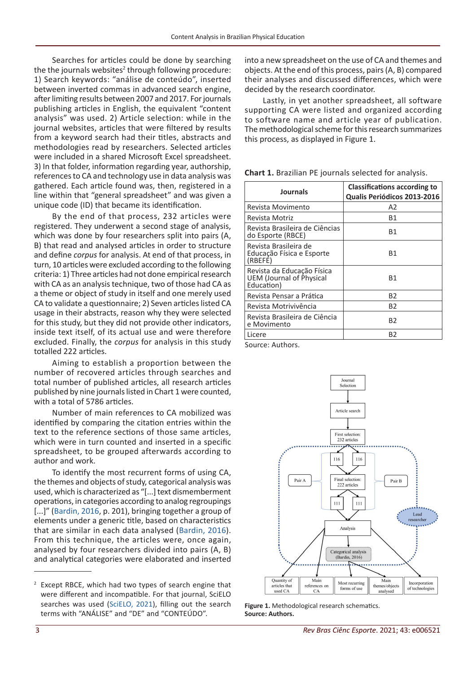Searches for articles could be done by searching the the journals websites<sup>2</sup> through following procedure: 1) Search keywords: "análise de conteúdo", inserted between inverted commas in advanced search engine, after limiting results between 2007 and 2017. For journals publishing articles in English, the equivalent "content analysis" was used. 2) Article selection: while in the journal websites, articles that were filtered by results from a keyword search had their titles, abstracts and methodologies read by researchers. Selected articles were included in a shared Microsoft Excel spreadsheet. 3) In that folder, information regarding year, authorship, references to CA and technology use in data analysis was gathered. Each article found was, then, registered in a line within that "general spreadsheet" and was given a unique code (ID) that became its identification.

By the end of that process, 232 articles were registered. They underwent a second stage of analysis, which was done by four researchers split into pairs (A, B) that read and analysed articles in order to structure and define *corpus* for analysis. At end of that process, in turn, 10 articles were excluded according to the following criteria: 1) Three articles had not done empirical research with CA as an analysis technique, two of those had CA as a theme or object of study in itself and one merely used CA to validate a questionnaire; 2) Seven articles listed CA usage in their abstracts, reason why they were selected for this study, but they did not provide other indicators, inside text itself, of its actual use and were therefore excluded. Finally, the *corpus* for analysis in this study totalled 222 articles.

Aiming to establish a proportion between the number of recovered articles through searches and total number of published articles, all research articles published by nine journals listed in Chart 1 were counted, with a total of 5786 articles.

Number of main references to CA mobilized was identified by comparing the citation entries within the text to the reference sections of those same articles, which were in turn counted and inserted in a specific spreadsheet, to be grouped afterwards according to author and work.

To identify the most recurrent forms of using CA, the themes and objects of study, categorical analysis was used, which is characterized as "[...] text dismemberment operations, in categories according to analog regroupings [...]" (Bardin, 2016, p. 201), bringing together a group of elements under a generic title, based on characteristics that are similar in each data analysed (Bardin, 2016). From this technique, the articles were, once again, analysed by four researchers divided into pairs (A, B) and analytical categories were elaborated and inserted

<sup>2</sup> Except RBCE, which had two types of search engine that were different and incompatible. For that journal, SciELO searches was used (SciELO, 2021), filling out the search terms with "ANÁLISE" and "DE" and "CONTEÚDO".

into a new spreadsheet on the use of CA and themes and objects. At the end of this process, pairs (A, B) compared their analyses and discussed differences, which were decided by the research coordinator.

Lastly, in yet another spreadsheet, all software supporting CA were listed and organized according to software name and article year of publication. The methodological scheme for this research summarizes this process, as displayed in Figure 1.

**Chart 1.** Brazilian PE journals selected for analysis.

| <b>Journals</b>                                                             | <b>Classifications according to</b><br>Qualis Periódicos 2013-2016 |
|-----------------------------------------------------------------------------|--------------------------------------------------------------------|
| Revista Movimento                                                           | A2                                                                 |
| Revista Motriz                                                              | Β1                                                                 |
| Revista Brasileira de Ciências<br>do Esporte (RBCE)                         | Β1                                                                 |
| Revista Brasileira de<br>Educação Física e Esporte<br>(RBEFE)               | B1                                                                 |
| Revista da Educação Física<br><b>UEM</b> (Journal of Physical<br>Education) | B1                                                                 |
| Revista Pensar a Prática                                                    | <b>B2</b>                                                          |
| Revista Motrivivência                                                       | B2                                                                 |
| Revista Brasileira de Ciência<br>e Movimento                                | B2                                                                 |
| Licere                                                                      | B2                                                                 |

Source: Authors.



**Figure 1.** Methodological research schematics. **Source: Authors.**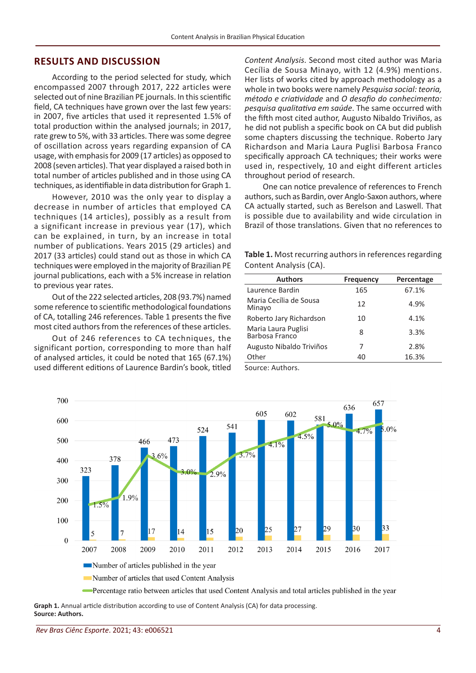## **RESULTS AND DISCUSSION**

According to the period selected for study, which encompassed 2007 through 2017, 222 articles were selected out of nine Brazilian PE journals. In this scientific field, CA techniques have grown over the last few years: in 2007, five articles that used it represented 1.5% of total production within the analysed journals; in 2017, rate grew to 5%, with 33 articles. There was some degree of oscillation across years regarding expansion of CA usage, with emphasis for 2009 (17 articles) as opposed to 2008 (seven articles). That year displayed a raised both in total number of articles published and in those using CA techniques, as identifiable in data distribution for Graph 1.

However, 2010 was the only year to display a decrease in number of articles that employed CA techniques (14 articles), possibly as a result from a significant increase in previous year (17), which can be explained, in turn, by an increase in total number of publications. Years 2015 (29 articles) and 2017 (33 articles) could stand out as those in which CA techniques were employed in the majority of Brazilian PE journal publications, each with a 5% increase in relation to previous year rates.

Out of the 222 selected articles, 208 (93.7%) named some reference to scientific methodological foundations of CA, totalling 246 references. Table 1 presents the five most cited authors from the references of these articles.

Out of 246 references to CA techniques, the significant portion, corresponding to more than half of analysed articles, it could be noted that 165 (67.1%) used different editions of Laurence Bardin's book, titled

*Content Analysis*. Second most cited author was Maria Cecília de Sousa Minayo, with 12 (4.9%) mentions. Her lists of works cited by approach methodology as a whole in two books were namely *Pesquisa social: teoria, método e criatividade* and *O desafio do conhecimento: pesquisa qualitativa em saúde*. The same occurred with the fifth most cited author, Augusto Nibaldo Triviños, as he did not publish a specific book on CA but did publish some chapters discussing the technique. Roberto Jary Richardson and Maria Laura Puglisi Barbosa Franco specifically approach CA techniques; their works were used in, respectively, 10 and eight different articles throughout period of research.

One can notice prevalence of references to French authors, such as Bardin, over Anglo-Saxon authors, where CA actually started, such as Berelson and Laswell. That is possible due to availability and wide circulation in Brazil of those translations. Given that no references to

**Table 1.** Most recurring authors in references regarding Content Analysis (CA).

| <b>Authors</b>                        | <b>Frequency</b> | Percentage |
|---------------------------------------|------------------|------------|
| Laurence Bardin                       | 165              | 67.1%      |
| Maria Cecília de Sousa<br>Minayo      | 12               | 4.9%       |
| Roberto Jary Richardson               | 10               | 4.1%       |
| Maria Laura Puglisi<br>Barbosa Franco | 8                | 3.3%       |
| Augusto Nibaldo Triviños              | 7                | 2.8%       |
| Other                                 | 40               | 16.3%      |

Source: Authors.





**Graph 1.** Annual article distribution according to use of Content Analysis (CA) for data processing. **Source: Authors.**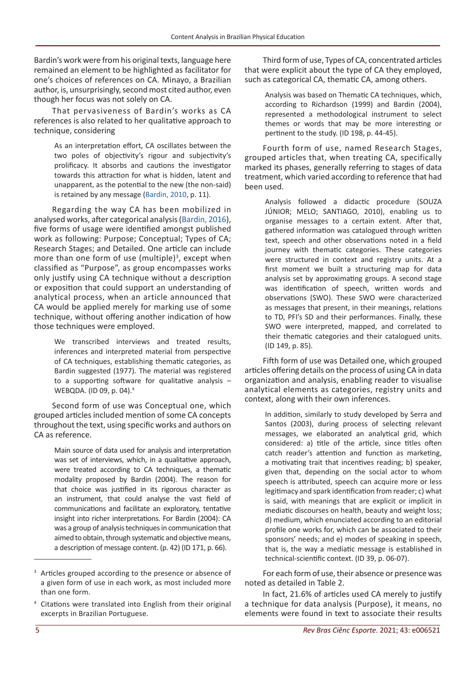Bardin's work were from his original texts, language here remained an element to be highlighted as facilitator for one's choices of references on CA. Minayo, a Brazilian author, is, unsurprisingly, second most cited author, even though her focus was not solely on CA.

That pervasiveness of Bardin's works as CA references is also related to her qualitative approach to technique, considering

> As an interpretation effort, CA oscillates between the two poles of objectivity's rigour and subjectivity's prolificacy. It absorbs and cautions the investigator towards this attraction for what is hidden, latent and unapparent, as the potential to the new (the non-said) is retained by any message (Bardin, 2010, p. 11).

Regarding the way CA has been mobilized in analysed works, after categorical analysis (Bardin, 2016), five forms of usage were identified amongst published work as following: Purpose; Conceptual; Types of CA; Research Stages; and Detailed. One article can include more than one form of use (multiple)<sup>3</sup>, except when classified as "Purpose", as group encompasses works only justify using CA technique without a description or exposition that could support an understanding of analytical process, when an article announced that CA would be applied merely for marking use of some technique, without offering another indication of how those techniques were employed.

> We transcribed interviews and treated results, inferences and interpreted material from perspective of CA techniques, establishing thematic categories, as Bardin suggested (1977). The material was registered to a supporting software for qualitative analysis  $-$ WEBQDA. (ID 09, p. 04).<sup>4</sup>

Second form of use was Conceptual one, which grouped articles included mention of some CA concepts throughout the text, using specific works and authors on CA as reference.

> Main source of data used for analysis and interpretation was set of interviews, which, in a qualitative approach, were treated according to CA techniques, a thematic modality proposed by Bardin (2004). The reason for that choice was justified in its rigorous character as an instrument, that could analyse the vast field of communications and facilitate an exploratory, tentative insight into richer interpretations. For Bardin (2004): CA was a group of analysis techniques in communication that aimed to obtain, through systematic and objective means, a description of message content. (p. 42) (ID 171, p. 66).

Third form of use, Types of CA, concentrated articles that were explicit about the type of CA they employed, such as categorical CA, thematic CA, among others.

Analysis was based on Thematic CA techniques, which, according to Richardson (1999) and Bardin (2004), represented a methodological instrument to select themes or words that may be more interesting or pertinent to the study. (ID 198, p. 44-45).

Fourth form of use, named Research Stages, grouped articles that, when treating CA, specifically marked its phases, generally referring to stages of data treatment, which varied according to reference that had been used.

> Analysis followed a didactic procedure (SOUZA JÚNIOR; MELO; SANTIAGO, 2010), enabling us to organise messages to a certain extent. After that, gathered information was catalogued through written text, speech and other observations noted in a field journey with thematic categories. These categories were structured in context and registry units. At a first moment we built a structuring map for data analysis set by approximating groups. A second stage was identification of speech, written words and observations (SWO). These SWO were characterized as messages that present, in their meanings, relations to TD, PFI's SD and their performances. Finally, these SWO were interpreted, mapped, and correlated to their thematic categories and their catalogued units. (ID 149, p. 85).

Fifth form of use was Detailed one, which grouped articles offering details on the process of using CA in data organization and analysis, enabling reader to visualise analytical elements as categories, registry units and context, along with their own inferences.

> In addition, similarly to study developed by Serra and Santos (2003), during process of selecting relevant messages, we elaborated an analytical grid, which considered: a) title of the article, since titles often catch reader's attention and function as marketing, a motivating trait that incentives reading; b) speaker, given that, depending on the social actor to whom speech is attributed, speech can acquire more or less legitimacy and spark identification from reader; c) what is said, with meanings that are explicit or implicit in mediatic discourses on health, beauty and weight loss; d) medium, which enunciated according to an editorial profile one works for, which can be associated to their sponsors' needs; and e) modes of speaking in speech, that is, the way a mediatic message is established in technical-scientific context. (ID 39, p. 06-07).

For each form of use, their absence or presence was noted as detailed in Table 2.

In fact, 21.6% of articles used CA merely to justify a technique for data analysis (Purpose), it means, no elements were found in text to associate their results

<sup>&</sup>lt;sup>3</sup> Articles grouped according to the presence or absence of a given form of use in each work, as most included more than one form.

<sup>4</sup> Citations were translated into English from their original excerpts in Brazilian Portuguese.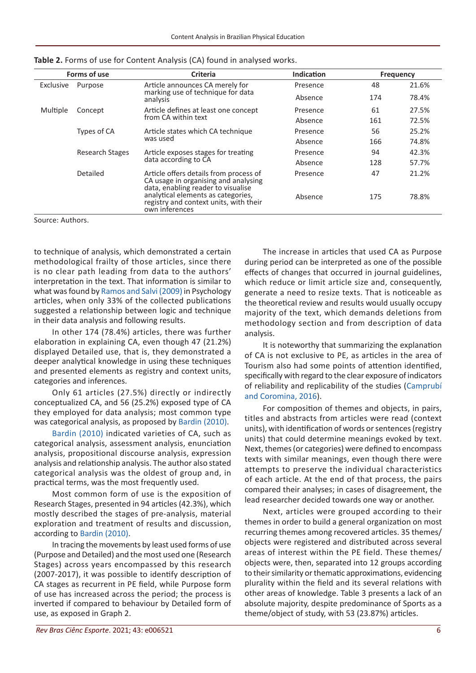|                      | Forms of use                                                                     | <b>Criteria</b>                                                                                                      | Indication |       | <b>Frequency</b> |
|----------------------|----------------------------------------------------------------------------------|----------------------------------------------------------------------------------------------------------------------|------------|-------|------------------|
| Exclusive<br>Purpose | Article announces CA merely for<br>marking use of technique for data<br>analysis | Presence                                                                                                             | 48         | 21.6% |                  |
|                      |                                                                                  | Absence                                                                                                              | 174        | 78.4% |                  |
| Multiple             | Concept                                                                          | Article defines at least one concept                                                                                 | Presence   | 61    | 27.5%            |
|                      | from CA within text                                                              | Absence                                                                                                              | 161        | 72.5% |                  |
|                      | Types of CA                                                                      | Article states which CA technique                                                                                    | Presence   | 56    | 25.2%            |
|                      |                                                                                  | was used                                                                                                             | Absence    | 166   | 74.8%            |
|                      | Research Stages                                                                  | Article exposes stages for treating                                                                                  | Presence   | 94    | 42.3%            |
|                      |                                                                                  | data according to CA                                                                                                 | Absence    | 128   | 57.7%            |
| Detailed             |                                                                                  | Article offers details from process of<br>CA usage in organising and analysing<br>data, enabling reader to visualise | Presence   | 47    | 21.2%            |
|                      |                                                                                  | analytical elements as categories,<br>registry and context units, with their<br>own inferences                       | Absence    | 175   | 78.8%            |

**Table 2.** Forms of use for Content Analysis (CA) found in analysed works.

Source: Authors.

to technique of analysis, which demonstrated a certain methodological frailty of those articles, since there is no clear path leading from data to the authors' interpretation in the text. That information is similar to what was found by Ramos and Salvi (2009) in Psychology articles, when only 33% of the collected publications suggested a relationship between logic and technique in their data analysis and following results.

In other 174 (78.4%) articles, there was further elaboration in explaining CA, even though 47 (21.2%) displayed Detailed use, that is, they demonstrated a deeper analytical knowledge in using these techniques and presented elements as registry and context units, categories and inferences.

Only 61 articles (27.5%) directly or indirectly conceptualized CA, and 56 (25.2%) exposed type of CA they employed for data analysis; most common type was categorical analysis, as proposed by Bardin (2010).

Bardin (2010) indicated varieties of CA, such as categorical analysis, assessment analysis, enunciation analysis, propositional discourse analysis, expression analysis and relationship analysis. The author also stated categorical analysis was the oldest of group and, in practical terms, was the most frequently used.

Most common form of use is the exposition of Research Stages, presented in 94 articles (42.3%), which mostly described the stages of pre-analysis, material exploration and treatment of results and discussion, according to Bardin (2010).

In tracing the movements by least used forms of use (Purpose and Detailed) and the most used one (Research Stages) across years encompassed by this research (2007-2017), it was possible to identify description of CA stages as recurrent in PE field, while Purpose form of use has increased across the period; the process is inverted if compared to behaviour by Detailed form of use, as exposed in Graph 2.

The increase in articles that used CA as Purpose during period can be interpreted as one of the possible effects of changes that occurred in journal guidelines, which reduce or limit article size and, consequently, generate a need to resize texts. That is noticeable as the theoretical review and results would usually occupy majority of the text, which demands deletions from methodology section and from description of data analysis.

It is noteworthy that summarizing the explanation of CA is not exclusive to PE, as articles in the area of Tourism also had some points of attention identified, specifically with regard to the clear exposure of indicators of reliability and replicability of the studies (Camprubí and Coromina, 2016).

For composition of themes and objects, in pairs, titles and abstracts from articles were read (context units), with identification of words or sentences (registry units) that could determine meanings evoked by text. Next, themes (or categories) were defined to encompass texts with similar meanings, even though there were attempts to preserve the individual characteristics of each article. At the end of that process, the pairs compared their analyses; in cases of disagreement, the lead researcher decided towards one way or another.

Next, articles were grouped according to their themes in order to build a general organization on most recurring themes among recovered articles. 35 themes/ objects were registered and distributed across several areas of interest within the PE field. These themes/ objects were, then, separated into 12 groups according to their similarity or thematic approximations, evidencing plurality within the field and its several relations with other areas of knowledge. Table 3 presents a lack of an absolute majority, despite predominance of Sports as a theme/object of study, with 53 (23.87%) articles.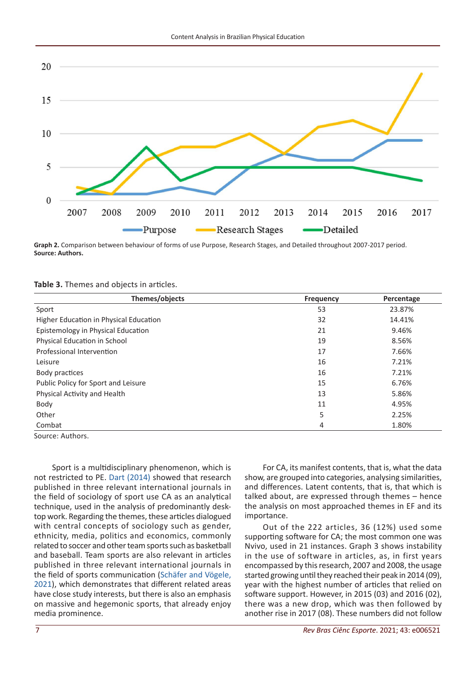

**Graph 2.** Comparison between behaviour of forms of use Purpose, Research Stages, and Detailed throughout 2007-2017 period. **Source: Authors.**

#### **Table 3.** Themes and objects in articles.

| Themes/objects                         | <b>Frequency</b> | Percentage |
|----------------------------------------|------------------|------------|
| Sport                                  | 53               | 23.87%     |
| Higher Education in Physical Education | 32               | 14.41%     |
| Epistemology in Physical Education     | 21               | 9.46%      |
| Physical Education in School           | 19               | 8.56%      |
| Professional Intervention              | 17               | 7.66%      |
| Leisure                                | 16               | 7.21%      |
| Body practices                         | 16               | 7.21%      |
| Public Policy for Sport and Leisure    | 15               | 6.76%      |
| Physical Activity and Health           | 13               | 5.86%      |
| Body                                   | 11               | 4.95%      |
| Other                                  | 5                | 2.25%      |
| Combat                                 | 4                | 1.80%      |

Source: Authors.

Sport is a multidisciplinary phenomenon, which is not restricted to PE. Dart (2014) showed that research published in three relevant international journals in the field of sociology of sport use CA as an analytical technique, used in the analysis of predominantly desktop work. Regarding the themes, these articles dialogued with central concepts of sociology such as gender, ethnicity, media, politics and economics, commonly related to soccer and other team sports such as basketball and baseball. Team sports are also relevant in articles published in three relevant international journals in the field of sports communication (Schäfer and Vögele, 2021), which demonstrates that different related areas have close study interests, but there is also an emphasis on massive and hegemonic sports, that already enjoy media prominence.

For CA, its manifest contents, that is, what the data show, are grouped into categories, analysing similarities, and differences. Latent contents, that is, that which is talked about, are expressed through themes – hence the analysis on most approached themes in EF and its importance.

Out of the 222 articles, 36 (12%) used some supporting software for CA; the most common one was Nvivo, used in 21 instances. Graph 3 shows instability in the use of software in articles, as, in first years encompassed by this research, 2007 and 2008, the usage started growing until they reached their peak in 2014 (09), year with the highest number of articles that relied on software support. However, in 2015 (03) and 2016 (02), there was a new drop, which was then followed by another rise in 2017 (08). These numbers did not follow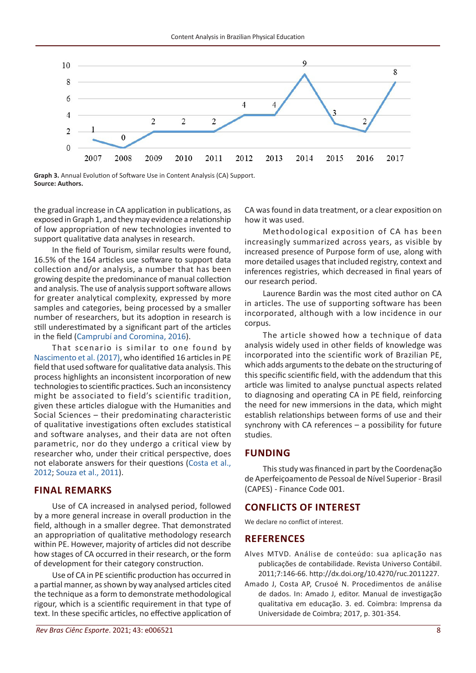

**Graph 3.** Annual Evolution of Software Use in Content Analysis (CA) Support. **Source: Authors.**

the gradual increase in CA application in publications, as exposed in Graph 1, and they may evidence a relationship of low appropriation of new technologies invented to support qualitative data analyses in research.

In the field of Tourism, similar results were found, 16.5% of the 164 articles use software to support data collection and/or analysis, a number that has been growing despite the predominance of manual collection and analysis. The use of analysis support software allows for greater analytical complexity, expressed by more samples and categories, being processed by a smaller number of researchers, but its adoption in research is still underestimated by a significant part of the articles in the field (Camprubí and Coromina, 2016).

That scenario is similar to one found by Nascimento et al. (2017), who identified 16 articles in PE field that used software for qualitative data analysis. This process highlights an inconsistent incorporation of new technologies to scientific practices. Such an inconsistency might be associated to field's scientific tradition, given these articles dialogue with the Humanities and Social Sciences – their predominating characteristic of qualitative investigations often excludes statistical and software analyses, and their data are not often parametric, nor do they undergo a critical view by researcher who, under their critical perspective, does not elaborate answers for their questions (Costa et al., 2012; Souza et al., 2011).

## **FINAL REMARKS**

Use of CA increased in analysed period, followed by a more general increase in overall production in the field, although in a smaller degree. That demonstrated an appropriation of qualitative methodology research within PE. However, majority of articles did not describe how stages of CA occurred in their research, or the form of development for their category construction.

Use of CA in PE scientific production has occurred in a partial manner, as shown by way analysed articles cited the technique as a form to demonstrate methodological rigour, which is a scientific requirement in that type of text. In these specific articles, no effective application of CA was found in data treatment, or a clear exposition on how it was used.

Methodological exposition of CA has been increasingly summarized across years, as visible by increased presence of Purpose form of use, along with more detailed usages that included registry, context and inferences registries, which decreased in final years of our research period.

Laurence Bardin was the most cited author on CA in articles. The use of supporting software has been incorporated, although with a low incidence in our corpus.

The article showed how a technique of data analysis widely used in other fields of knowledge was incorporated into the scientific work of Brazilian PE, which adds arguments to the debate on the structuring of this specific scientific field, with the addendum that this article was limited to analyse punctual aspects related to diagnosing and operating CA in PE field, reinforcing the need for new immersions in the data, which might establish relationships between forms of use and their synchrony with CA references – a possibility for future studies.

# **FUNDING**

This study was financed in part by the Coordenação de Aperfeiçoamento de Pessoal de Nível Superior - Brasil (CAPES) - Finance Code 001.

# **CONFLICTS OF INTEREST**

We declare no conflict of interest.

## **REFERENCES**

- Alves MTVD. Análise de conteúdo: sua aplicação nas publicações de contabilidade. Revista Universo Contábil. 2011;7:146-66. [http://dx.doi.org/10.4270/ruc.2011227](https://doi.org/10.4270/ruc.2011227).
- Amado J, Costa AP, Crusoé N. Procedimentos de análise de dados. In: Amado J, editor. Manual de investigação qualitativa em educação. 3. ed. Coimbra: Imprensa da Universidade de Coimbra; 2017, p. 301-354.